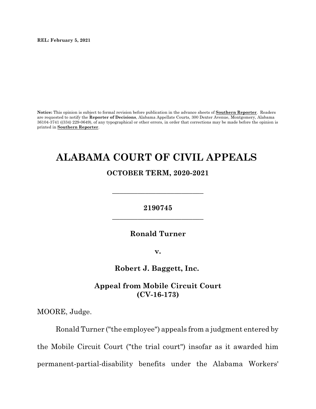**REL: February 5, 2021**

**Notice:** This opinion is subject to formal revision before publication in the advance sheets of **Southern Reporter**. Readers are requested to notify the **Reporter of Decisions**, Alabama Appellate Courts, 300 Dexter Avenue, Montgomery, Alabama 36104-3741 ((334) 229-0649), of any typographical or other errors, in order that corrections may be made before the opinion is printed in **Southern Reporter**.

# **ALABAMA COURT OF CIVIL APPEALS**

## **OCTOBER TERM, 2020-2021**

**\_\_\_\_\_\_\_\_\_\_\_\_\_\_\_\_\_\_\_\_\_\_\_\_\_**

## **2190745 \_\_\_\_\_\_\_\_\_\_\_\_\_\_\_\_\_\_\_\_\_\_\_\_\_**

## **Ronald Turner**

**v.**

**Robert J. Baggett, Inc.**

**Appeal from Mobile Circuit Court (CV-16-173)**

MOORE, Judge.

Ronald Turner ("the employee") appeals from a judgment entered by the Mobile Circuit Court ("the trial court") insofar as it awarded him permanent-partial-disability benefits under the Alabama Workers'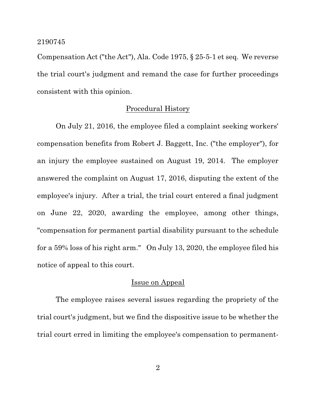Compensation Act ("the Act"), Ala. Code 1975, § 25-5-1 et seq. We reverse the trial court's judgment and remand the case for further proceedings consistent with this opinion.

## Procedural History

On July 21, 2016, the employee filed a complaint seeking workers' compensation benefits from Robert J. Baggett, Inc. ("the employer"), for an injury the employee sustained on August 19, 2014. The employer answered the complaint on August 17, 2016, disputing the extent of the employee's injury. After a trial, the trial court entered a final judgment on June 22, 2020, awarding the employee, among other things, "compensation for permanent partial disability pursuant to the schedule for a 59% loss of his right arm." On July 13, 2020, the employee filed his notice of appeal to this court.

## Issue on Appeal

The employee raises several issues regarding the propriety of the trial court's judgment, but we find the dispositive issue to be whether the trial court erred in limiting the employee's compensation to permanent-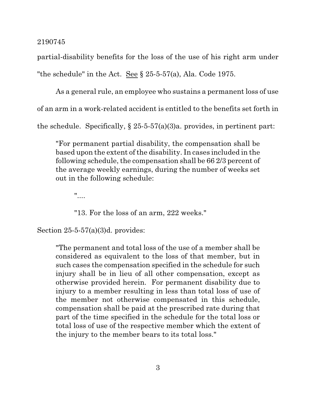partial-disability benefits for the loss of the use of his right arm under "the schedule" in the Act. See § 25-5-57(a), Ala. Code 1975.

As a general rule, an employee who sustains a permanent loss of use of an arm in a work-related accident is entitled to the benefits set forth in the schedule. Specifically,  $\S 25-5-57(a)(3)a$ , provides, in pertinent part:

"For permanent partial disability, the compensation shall be based upon the extent of the disability. In cases included in the following schedule, the compensation shall be 66 2/3 percent of the average weekly earnings, during the number of weeks set out in the following schedule:

"....

"13. For the loss of an arm, 222 weeks."

Section 25-5-57(a)(3)d. provides:

"The permanent and total loss of the use of a member shall be considered as equivalent to the loss of that member, but in such cases the compensation specified in the schedule for such injury shall be in lieu of all other compensation, except as otherwise provided herein. For permanent disability due to injury to a member resulting in less than total loss of use of the member not otherwise compensated in this schedule, compensation shall be paid at the prescribed rate during that part of the time specified in the schedule for the total loss or total loss of use of the respective member which the extent of the injury to the member bears to its total loss."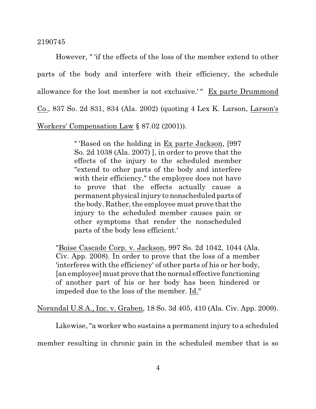However, " 'if the effects of the loss of the member extend to other parts of the body and interfere with their efficiency, the schedule allowance for the lost member is not exclusive.' " Ex parte Drummond Co., 837 So. 2d 831, 834 (Ala. 2002) (quoting 4 Lex K. Larson, Larson's Workers' Compensation Law § 87.02 (2001)).

> " 'Based on the holding in Ex parte Jackson, [997 So. 2d 1038 (Ala. 2007) ], in order to prove that the effects of the injury to the scheduled member "extend to other parts of the body and interfere with their efficiency," the employee does not have to prove that the effects actually cause a permanent physical injury to nonscheduled parts of the body. Rather, the employee must prove that the injury to the scheduled member causes pain or other symptoms that render the nonscheduled parts of the body less efficient.'

"Boise Cascade Corp. v. Jackson, 997 So. 2d 1042, 1044 (Ala. Civ. App. 2008). In order to prove that the loss of a member 'interferes with the efficiency' of other parts of his or her body, [an employee] must prove that the normal effective functioning of another part of his or her body has been hindered or impeded due to the loss of the member. Id."

Norandal U.S.A., Inc. v. Graben, 18 So. 3d 405, 410 (Ala. Civ. App. 2009).

Likewise, "a worker who sustains a permanent injury to a scheduled

member resulting in chronic pain in the scheduled member that is so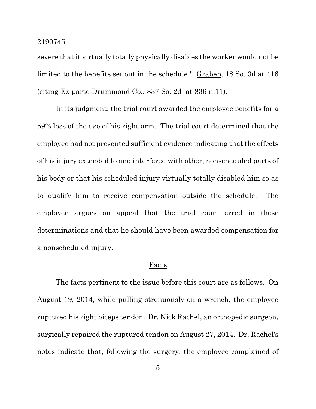severe that it virtually totally physically disables the worker would not be limited to the benefits set out in the schedule." Graben, 18 So. 3d at 416 (citing Ex parte Drummond Co., 837 So. 2d at 836 n.11).

In its judgment, the trial court awarded the employee benefits for a 59% loss of the use of his right arm. The trial court determined that the employee had not presented sufficient evidence indicating that the effects of his injury extended to and interfered with other, nonscheduled parts of his body or that his scheduled injury virtually totally disabled him so as to qualify him to receive compensation outside the schedule. The employee argues on appeal that the trial court erred in those determinations and that he should have been awarded compensation for a nonscheduled injury.

## Facts

The facts pertinent to the issue before this court are as follows. On August 19, 2014, while pulling strenuously on a wrench, the employee ruptured his right biceps tendon. Dr. Nick Rachel, an orthopedic surgeon, surgically repaired the ruptured tendon on August 27, 2014. Dr. Rachel's notes indicate that, following the surgery, the employee complained of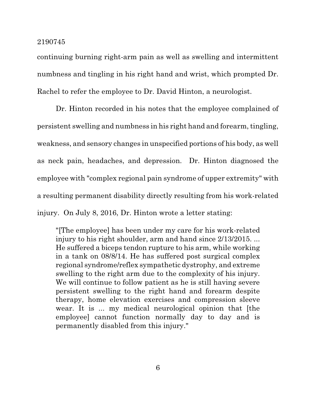continuing burning right-arm pain as well as swelling and intermittent numbness and tingling in his right hand and wrist, which prompted Dr. Rachel to refer the employee to Dr. David Hinton, a neurologist.

Dr. Hinton recorded in his notes that the employee complained of persistent swelling and numbness in his right hand and forearm, tingling, weakness, and sensory changes in unspecified portions of his body, as well as neck pain, headaches, and depression. Dr. Hinton diagnosed the employee with "complex regional pain syndrome of upper extremity" with a resulting permanent disability directly resulting from his work-related injury. On July 8, 2016, Dr. Hinton wrote a letter stating:

"[The employee] has been under my care for his work-related injury to his right shoulder, arm and hand since  $2/13/2015$ ... He suffered a biceps tendon rupture to his arm, while working in a tank on 08/8/14. He has suffered post surgical complex regional syndrome/reflex sympathetic dystrophy, and extreme swelling to the right arm due to the complexity of his injury. We will continue to follow patient as he is still having severe persistent swelling to the right hand and forearm despite therapy, home elevation exercises and compression sleeve wear. It is ... my medical neurological opinion that [the employee] cannot function normally day to day and is permanently disabled from this injury."

6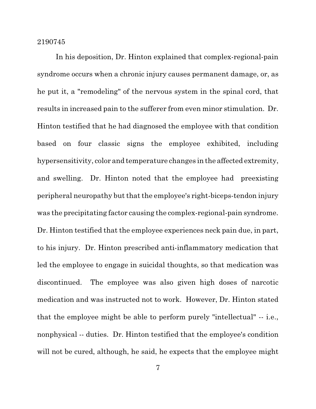In his deposition, Dr. Hinton explained that complex-regional-pain syndrome occurs when a chronic injury causes permanent damage, or, as he put it, a "remodeling" of the nervous system in the spinal cord, that results in increased pain to the sufferer from even minor stimulation. Dr. Hinton testified that he had diagnosed the employee with that condition based on four classic signs the employee exhibited, including hypersensitivity, color and temperature changes in the affected extremity, and swelling. Dr. Hinton noted that the employee had preexisting peripheral neuropathy but thatthe employee's right-biceps-tendon injury was the precipitating factor causing the complex-regional-pain syndrome. Dr. Hinton testified that the employee experiences neck pain due, in part, to his injury. Dr. Hinton prescribed anti-inflammatory medication that led the employee to engage in suicidal thoughts, so that medication was discontinued. The employee was also given high doses of narcotic medication and was instructed not to work. However, Dr. Hinton stated that the employee might be able to perform purely "intellectual" -- i.e., nonphysical -- duties. Dr. Hinton testified that the employee's condition will not be cured, although, he said, he expects that the employee might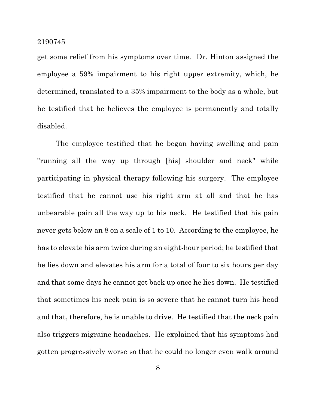get some relief from his symptoms over time. Dr. Hinton assigned the employee a 59% impairment to his right upper extremity, which, he determined, translated to a 35% impairment to the body as a whole, but he testified that he believes the employee is permanently and totally disabled.

The employee testified that he began having swelling and pain "running all the way up through [his] shoulder and neck" while participating in physical therapy following his surgery. The employee testified that he cannot use his right arm at all and that he has unbearable pain all the way up to his neck. He testified that his pain never gets below an 8 on a scale of 1 to 10. According to the employee, he has to elevate his arm twice during an eight-hour period; he testified that he lies down and elevates his arm for a total of four to six hours per day and that some days he cannot get back up once he lies down. He testified that sometimes his neck pain is so severe that he cannot turn his head and that, therefore, he is unable to drive. He testified that the neck pain also triggers migraine headaches. He explained that his symptoms had gotten progressively worse so that he could no longer even walk around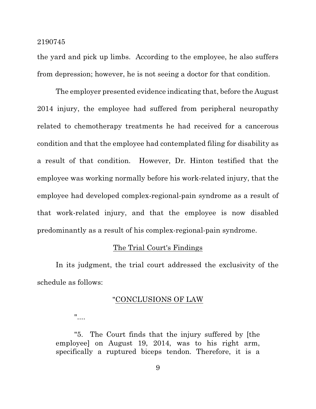the yard and pick up limbs. According to the employee, he also suffers from depression; however, he is not seeing a doctor for that condition.

The employer presented evidence indicating that, before the August 2014 injury, the employee had suffered from peripheral neuropathy related to chemotherapy treatments he had received for a cancerous condition and that the employee had contemplated filing for disability as a result of that condition. However, Dr. Hinton testified that the employee was working normally before his work-related injury, that the employee had developed complex-regional-pain syndrome as a result of that work-related injury, and that the employee is now disabled predominantly as a result of his complex-regional-pain syndrome.

## The Trial Court's Findings

In its judgment, the trial court addressed the exclusivity of the schedule as follows:

## "CONCLUSIONS OF LAW

"....

"5. The Court finds that the injury suffered by [the employee] on August 19, 2014, was to his right arm, specifically a ruptured biceps tendon. Therefore, it is a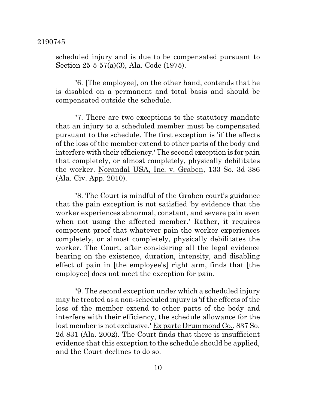scheduled injury and is due to be compensated pursuant to Section 25-5-57(a)(3), Ala. Code (1975).

"6. [The employee], on the other hand, contends that he is disabled on a permanent and total basis and should be compensated outside the schedule.

"7. There are two exceptions to the statutory mandate that an injury to a scheduled member must be compensated pursuant to the schedule. The first exception is 'if the effects of the loss of the member extend to other parts of the body and interfere with their efficiency.' The second exception is for pain that completely, or almost completely, physically debilitates the worker. Norandal USA, Inc. v. Graben, 133 So. 3d 386 (Ala. Civ. App. 2010).

"8. The Court is mindful of the Graben court's guidance that the pain exception is not satisfied 'by evidence that the worker experiences abnormal, constant, and severe pain even when not using the affected member.' Rather, it requires competent proof that whatever pain the worker experiences completely, or almost completely, physically debilitates the worker. The Court, after considering all the legal evidence bearing on the existence, duration, intensity, and disabling effect of pain in [the employee's] right arm, finds that [the employee] does not meet the exception for pain.

"9. The second exception under which a scheduled injury may be treated as a non-scheduled injury is 'if the effects of the loss of the member extend to other parts of the body and interfere with their efficiency, the schedule allowance for the lost member is not exclusive.' Ex parte Drummond Co., 837 So. 2d 831 (Ala. 2002). The Court finds that there is insufficient evidence that this exception to the schedule should be applied, and the Court declines to do so.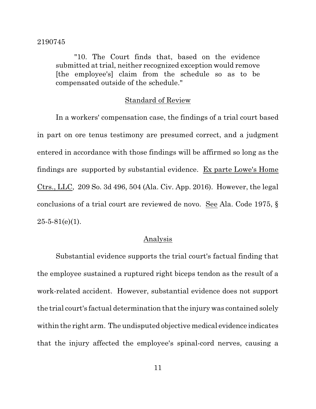"10. The Court finds that, based on the evidence submitted at trial, neither recognized exception would remove [the employee's] claim from the schedule so as to be compensated outside of the schedule."

## Standard of Review

In a workers' compensation case, the findings of a trial court based in part on ore tenus testimony are presumed correct, and a judgment entered in accordance with those findings will be affirmed so long as the findings are supported by substantial evidence. Ex parte Lowe's Home Ctrs., LLC, 209 So. 3d 496, 504 (Ala. Civ. App. 2016). However, the legal conclusions of a trial court are reviewed de novo. See Ala. Code 1975, §  $25-5-81(e)(1)$ .

## Analysis

Substantial evidence supports the trial court's factual finding that the employee sustained a ruptured right biceps tendon as the result of a work-related accident. However, substantial evidence does not support the trial court's factual determination that the injury was contained solely within the right arm. The undisputed objective medical evidence indicates that the injury affected the employee's spinal-cord nerves, causing a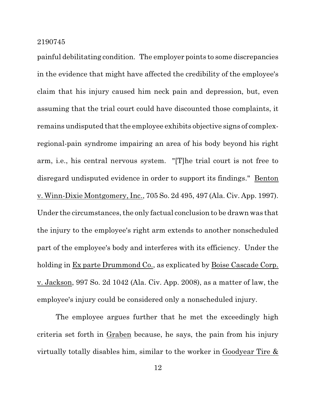painful debilitating condition. The employer points to some discrepancies in the evidence that might have affected the credibility of the employee's claim that his injury caused him neck pain and depression, but, even assuming that the trial court could have discounted those complaints, it remains undisputed that the employee exhibits objective signs of complexregional-pain syndrome impairing an area of his body beyond his right arm, i.e., his central nervous system. "[T]he trial court is not free to disregard undisputed evidence in order to support its findings." Benton v. Winn-Dixie Montgomery, Inc., 705 So. 2d 495, 497 (Ala. Civ. App. 1997). Under the circumstances, the only factual conclusion to be drawn was that the injury to the employee's right arm extends to another nonscheduled part of the employee's body and interferes with its efficiency. Under the holding in Ex parte Drummond Co., as explicated by Boise Cascade Corp. v. Jackson, 997 So. 2d 1042 (Ala. Civ. App. 2008), as a matter of law, the employee's injury could be considered only a nonscheduled injury.

The employee argues further that he met the exceedingly high criteria set forth in Graben because, he says, the pain from his injury virtually totally disables him, similar to the worker in Goodyear Tire &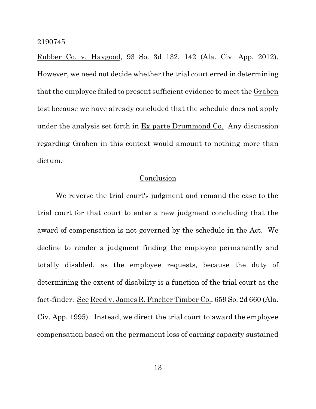Rubber Co. v. Haygood, 93 So. 3d 132, 142 (Ala. Civ. App. 2012). However, we need not decide whether the trial court erred in determining that the employee failed to present sufficient evidence to meet the Graben test because we have already concluded that the schedule does not apply under the analysis set forth in Ex parte Drummond Co. Any discussion regarding Graben in this context would amount to nothing more than dictum.

## Conclusion

We reverse the trial court's judgment and remand the case to the trial court for that court to enter a new judgment concluding that the award of compensation is not governed by the schedule in the Act. We decline to render a judgment finding the employee permanently and totally disabled, as the employee requests, because the duty of determining the extent of disability is a function of the trial court as the fact-finder. See Reed v. James R. Fincher Timber Co., 659 So. 2d 660 (Ala. Civ. App. 1995). Instead, we direct the trial court to award the employee compensation based on the permanent loss of earning capacity sustained